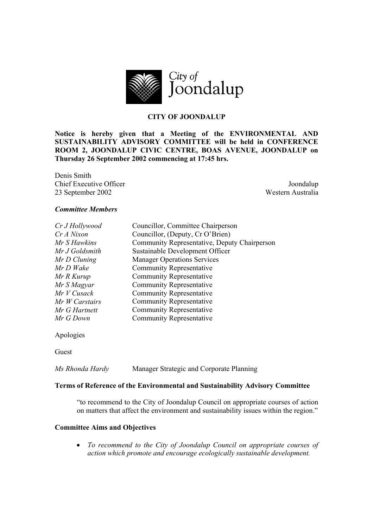

# **CITY OF JOONDALUP**

**Notice is hereby given that a Meeting of the ENVIRONMENTAL AND SUSTAINABILITY ADVISORY COMMITTEE will be held in CONFERENCE ROOM 2, JOONDALUP CIVIC CENTRE, BOAS AVENUE, JOONDALUP on Thursday 26 September 2002 commencing at 17:45 hrs.** 

Denis Smith **Chief Executive Officer** Joondalup 23 September 2002 Western Australia

#### *Committee Members*

| Cr J Hollywood | Councillor, Committee Chairperson            |
|----------------|----------------------------------------------|
| CrA Nixon      | Councillor, (Deputy, Cr O'Brien)             |
| Mr S Hawkins   | Community Representative, Deputy Chairperson |
| Mr J Goldsmith | Sustainable Development Officer              |
| Mr D Cluning   | <b>Manager Operations Services</b>           |
| Mr D Wake      | <b>Community Representative</b>              |
| Mr R Kurup     | <b>Community Representative</b>              |
| Mr S Magyar    | <b>Community Representative</b>              |
| Mr V Cusack    | <b>Community Representative</b>              |
| Mr W Carstairs | <b>Community Representative</b>              |
| Mr G Hartnett  | <b>Community Representative</b>              |
| Mr G Down      | <b>Community Representative</b>              |
|                |                                              |

Apologies

Guest

*Ms Rhonda Hardy* Manager Strategic and Corporate Planning

#### **Terms of Reference of the Environmental and Sustainability Advisory Committee**

"to recommend to the City of Joondalup Council on appropriate courses of action on matters that affect the environment and sustainability issues within the region."

#### **Committee Aims and Objectives**

• *To recommend to the City of Joondalup Council on appropriate courses of action which promote and encourage ecologically sustainable development.*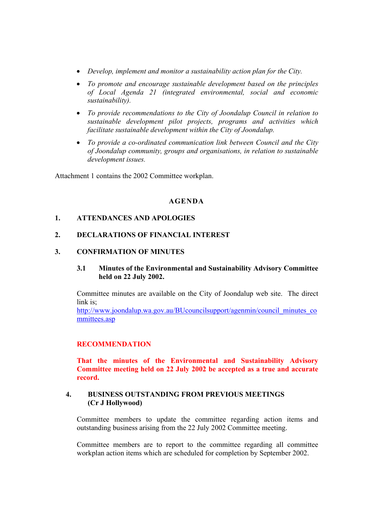- *Develop, implement and monitor a sustainability action plan for the City.*
- *To promote and encourage sustainable development based on the principles of Local Agenda 21 (integrated environmental, social and economic sustainability).*
- *To provide recommendations to the City of Joondalup Council in relation to sustainable development pilot projects, programs and activities which facilitate sustainable development within the City of Joondalup.*
- *To provide a co-ordinated communication link between Council and the City of Joondalup community, groups and organisations, in relation to sustainable development issues.*

Attachment 1 contains the 2002 Committee workplan.

# **AGENDA**

# **1. ATTENDANCES AND APOLOGIES**

#### **2. DECLARATIONS OF FINANCIAL INTEREST**

#### **3. CONFIRMATION OF MINUTES**

# **3.1 Minutes of the Environmental and Sustainability Advisory Committee held on 22 July 2002.**

Committee minutes are available on the City of Joondalup web site. The direct link is;

http://www.joondalup.wa.gov.au/BUcouncilsupport/agenmin/council\_minutes\_co mmittees.asp

#### **RECOMMENDATION**

**That the minutes of the Environmental and Sustainability Advisory Committee meeting held on 22 July 2002 be accepted as a true and accurate record.** 

# **4. BUSINESS OUTSTANDING FROM PREVIOUS MEETINGS (Cr J Hollywood)**

Committee members to update the committee regarding action items and outstanding business arising from the 22 July 2002 Committee meeting.

Committee members are to report to the committee regarding all committee workplan action items which are scheduled for completion by September 2002.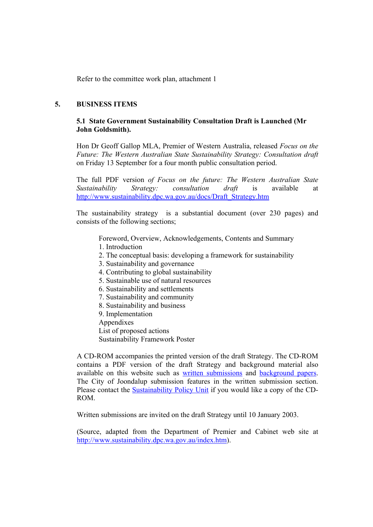Refer to the committee work plan, attachment 1

# **5. BUSINESS ITEMS**

# **5.1 State Government Sustainability Consultation Draft is Launched (Mr John Goldsmith).**

Hon Dr Geoff Gallop MLA, Premier of Western Australia, released *Focus on the Future: The Western Australian State Sustainability Strategy: Consultation draft*  on Friday 13 September for a four month public consultation period.

The full PDF version *of Focus on the future: The Western Australian State Sustainability Strategy: consultation draft* is available at http://www.sustainability.dpc.wa.gov.au/docs/Draft\_Strategy.htm

The sustainability strategy is a substantial document (over 230 pages) and consists of the following sections;

Foreword, Overview, Acknowledgements, Contents and Summary

- 1. Introduction
- 2. The conceptual basis: developing a framework for sustainability
- 3. Sustainability and governance
- 4. Contributing to global sustainability
- 5. Sustainable use of natural resources
- 6. Sustainability and settlements
- 7. Sustainability and community
- 8. Sustainability and business
- 9. Implementation
- Appendixes

List of proposed actions

Sustainability Framework Poster

A CD-ROM accompanies the printed version of the draft Strategy. The CD-ROM contains a PDF version of the draft Strategy and background material also available on this website such as written submissions and background papers. The City of Joondalup submission features in the written submission section. Please contact the **Sustainability Policy Unit** if you would like a copy of the CD-ROM.

Written submissions are invited on the draft Strategy until 10 January 2003.

(Source, adapted from the Department of Premier and Cabinet web site at http://www.sustainability.dpc.wa.gov.au/index.htm).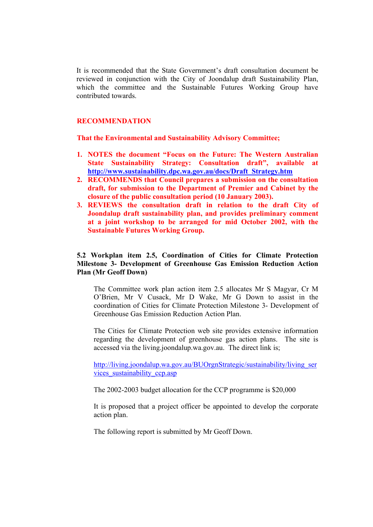It is recommended that the State Government's draft consultation document be reviewed in conjunction with the City of Joondalup draft Sustainability Plan, which the committee and the Sustainable Futures Working Group have contributed towards.

#### **RECOMMENDATION**

**That the Environmental and Sustainability Advisory Committee;** 

- **1. NOTES the document "Focus on the Future: The Western Australian State Sustainability Strategy: Consultation draft", available at http://www.sustainability.dpc.wa.gov.au/docs/Draft\_Strategy.htm**
- **2. RECOMMENDS that Council prepares a submission on the consultation draft, for submission to the Department of Premier and Cabinet by the closure of the public consultation period (10 January 2003).**
- **3. REVIEWS the consultation draft in relation to the draft City of Joondalup draft sustainability plan, and provides preliminary comment at a joint workshop to be arranged for mid October 2002, with the Sustainable Futures Working Group.**

# **5.2 Workplan item 2.5, Coordination of Cities for Climate Protection Milestone 3- Development of Greenhouse Gas Emission Reduction Action Plan (Mr Geoff Down)**

The Committee work plan action item 2.5 allocates Mr S Magyar, Cr M O'Brien, Mr V Cusack, Mr D Wake, Mr G Down to assist in the coordination of Cities for Climate Protection Milestone 3- Development of Greenhouse Gas Emission Reduction Action Plan.

The Cities for Climate Protection web site provides extensive information regarding the development of greenhouse gas action plans. The site is accessed via the living.joondalup.wa.gov.au. The direct link is;

http://living.joondalup.wa.gov.au/BUOrgnStrategic/sustainability/living\_ser vices\_sustainability\_ccp.asp

The 2002-2003 budget allocation for the CCP programme is \$20,000

It is proposed that a project officer be appointed to develop the corporate action plan.

The following report is submitted by Mr Geoff Down.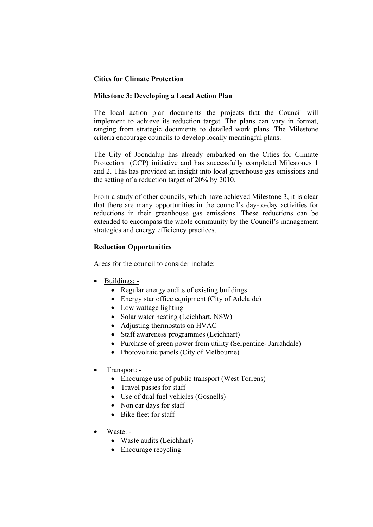# **Cities for Climate Protection**

# **Milestone 3: Developing a Local Action Plan**

The local action plan documents the projects that the Council will implement to achieve its reduction target. The plans can vary in format, ranging from strategic documents to detailed work plans. The Milestone criteria encourage councils to develop locally meaningful plans.

The City of Joondalup has already embarked on the Cities for Climate Protection (CCP) initiative and has successfully completed Milestones 1 and 2. This has provided an insight into local greenhouse gas emissions and the setting of a reduction target of 20% by 2010.

From a study of other councils, which have achieved Milestone 3, it is clear that there are many opportunities in the council's day-to-day activities for reductions in their greenhouse gas emissions. These reductions can be extended to encompass the whole community by the Council's management strategies and energy efficiency practices.

# **Reduction Opportunities**

Areas for the council to consider include:

- Buildings:
	- Regular energy audits of existing buildings
	- Energy star office equipment (City of Adelaide)
	- Low wattage lighting
	- Solar water heating (Leichhart, NSW)
	- Adjusting thermostats on HVAC
	- Staff awareness programmes (Leichhart)
	- Purchase of green power from utility (Serpentine- Jarrahdale)
	- Photovoltaic panels (City of Melbourne)
- Transport:
	- Encourage use of public transport (West Torrens)
	- Travel passes for staff
	- Use of dual fuel vehicles (Gosnells)
	- Non car days for staff
	- Bike fleet for staff
- Waste:
	- Waste audits (Leichhart)
	- Encourage recycling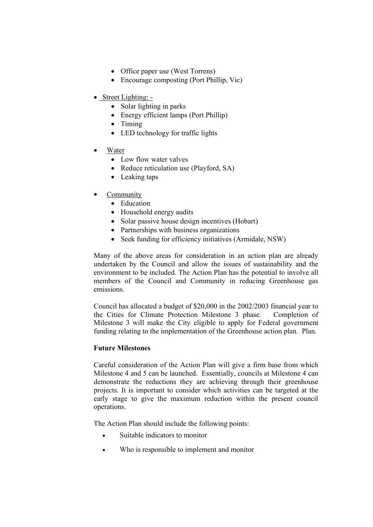- Office paper use (West Torrens)
- Encourage composting (Port Phillip, Vic)
- Street Lighting: -
	- Solar lighting in parks
	- Energy efficient lamps (Port Phillip)
	- Timing
	- LED technology for traffic lights
- **Water** 
	- Low flow water valves
	- Reduce reticulation use (Playford, SA)
	- Leaking taps
- **Community** 
	- Education
	- Household energy audits
	- Solar passive house design incentives (Hobart)
	- Partnerships with business organizations
	- Seek funding for efficiency initiatives (Armidale, NSW)

Many of the above areas for consideration in an action plan are already undertaken by the Council and allow the issues of sustainability and the environment to be included. The Action Plan has the potential to involve all members of the Council and Community in reducing Greenhouse gas emissions.

Council has allocated a budget of \$20,000 in the 2002/2003 financial year to the Cities for Climate Protection Milestone 3 phase. Completion of Milestone 3 will make the City eligible to apply for Federal government funding relating to the implementation of the Greenhouse action plan. Plan.

# **Future Milestones**

Careful consideration of the Action Plan will give a firm base from which Milestone 4 and 5 can be launched. Essentially, councils at Milestone 4 can demonstrate the reductions they are achieving through their greenhouse projects. It is important to consider which activities can be targeted at the early stage to give the maximum reduction within the present council operations.

The Action Plan should include the following points:

- Suitable indicators to monitor
- Who is responsible to implement and monitor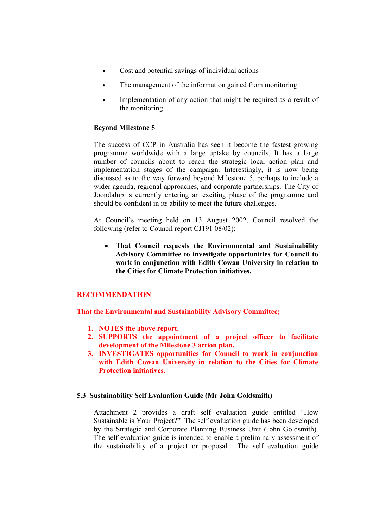- Cost and potential savings of individual actions
- The management of the information gained from monitoring
- Implementation of any action that might be required as a result of the monitoring

## **Beyond Milestone 5**

The success of CCP in Australia has seen it become the fastest growing programme worldwide with a large uptake by councils. It has a large number of councils about to reach the strategic local action plan and implementation stages of the campaign. Interestingly, it is now being discussed as to the way forward beyond Milestone 5, perhaps to include a wider agenda, regional approaches, and corporate partnerships. The City of Joondalup is currently entering an exciting phase of the programme and should be confident in its ability to meet the future challenges.

At Council's meeting held on 13 August 2002, Council resolved the following (refer to Council report CJ191 08/02);

• **That Council requests the Environmental and Sustainability Advisory Committee to investigate opportunities for Council to work in conjunction with Edith Cowan University in relation to the Cities for Climate Protection initiatives.** 

# **RECOMMENDATION**

**That the Environmental and Sustainability Advisory Committee;** 

- **1. NOTES the above report.**
- **2. SUPPORTS the appointment of a project officer to facilitate development of the Milestone 3 action plan.**
- **3. INVESTIGATES opportunities for Council to work in conjunction with Edith Cowan University in relation to the Cities for Climate Protection initiatives.**

#### **5.3 Sustainability Self Evaluation Guide (Mr John Goldsmith)**

Attachment 2 provides a draft self evaluation guide entitled "How Sustainable is Your Project?" The self evaluation guide has been developed by the Strategic and Corporate Planning Business Unit (John Goldsmith). The self evaluation guide is intended to enable a preliminary assessment of the sustainability of a project or proposal. The self evaluation guide